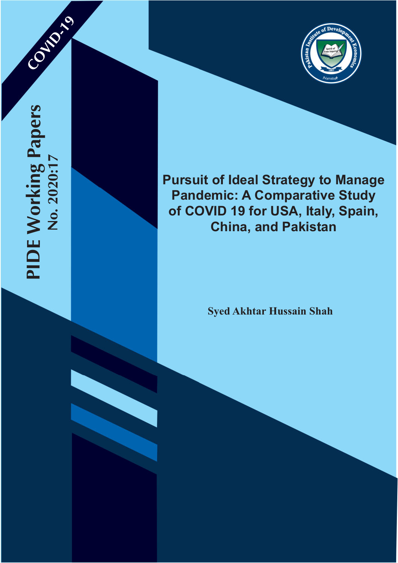COVID-199



# **Pursuit of Ideal Strategy to Manage Pandemic: A Comparative Study of COVID 19 for USA, Italy, Spain, China, and Pakistan**

**Syed Akhtar Hussain Shah**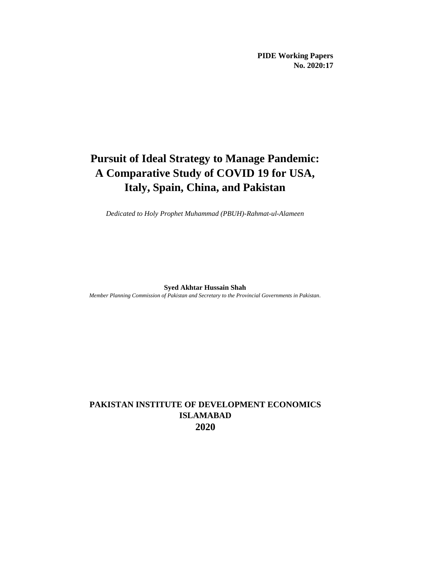**PIDE Working Papers No. 2020:17**

# **Pursuit of Ideal Strategy to Manage Pandemic: A Comparative Study of COVID 19 for USA, Italy, Spain, China, and Pakistan**

*Dedicated to Holy Prophet Muhammad (PBUH)-Rahmat-ul-Alameen*

**Syed Akhtar Hussain Shah**

*Member Planning Commission of Pakistan and Secretary to the Provincial Governments in Pakistan.*

# **PAKISTAN INSTITUTE OF DEVELOPMENT ECONOMICS ISLAMABAD 2020**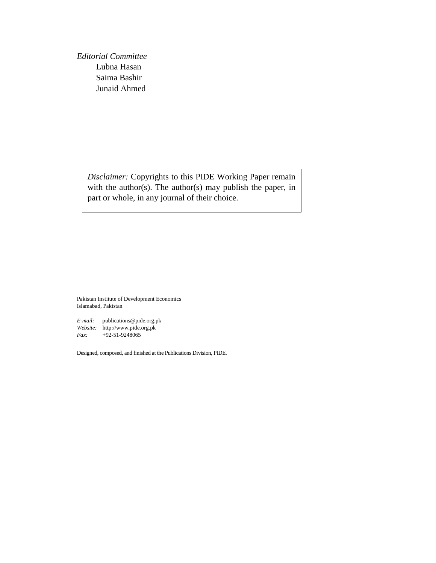*Editorial Committee* Lubna Hasan Saima Bashir Junaid Ahmed

> *Disclaimer:* Copyrights to this PIDE Working Paper remain with the author(s). The author(s) may publish the paper, in part or whole, in any journal of their choice.

Pakistan Institute of Development Economics Islamabad, Pakistan

*E-mail:* publications@pide.org.pk *Website:* http://www.pide.org.pk *Fax:* +92-51-9248065

Designed, composed, and finished at the Publications Division, PIDE.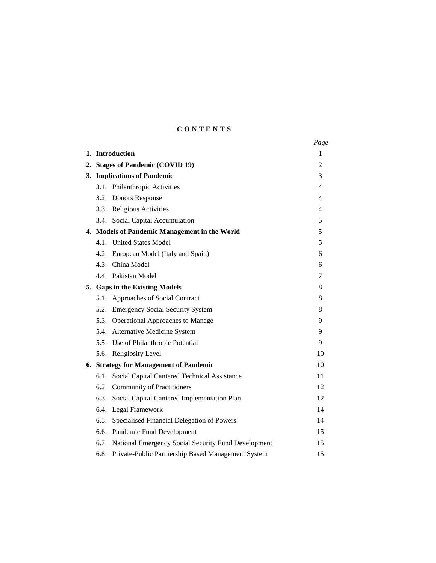# **C O N T E N T S**

|                                                             | Page |
|-------------------------------------------------------------|------|
| 1. Introduction                                             | 1    |
| 2. Stages of Pandemic (COVID 19)                            | 2    |
| 3. Implications of Pandemic                                 | 3    |
| 3.1. Philanthropic Activities                               | 4    |
| 3.2. Donors Response                                        | 4    |
| 3.3. Religious Activities                                   | 4    |
| 3.4. Social Capital Accumulation                            | 5    |
| 4. Models of Pandemic Management in the World               | 5    |
| 4.1. United States Model                                    | 5    |
| 4.2. European Model (Italy and Spain)                       | 6    |
| 4.3. China Model                                            | 6    |
| 4.4. Pakistan Model                                         | 7    |
| 5. Gaps in the Existing Models                              | 8    |
| 5.1. Approaches of Social Contract                          | 8    |
| 5.2. Emergency Social Security System                       | 8    |
| 5.3. Operational Approaches to Manage                       | 9    |
| 5.4. Alternative Medicine System                            | 9    |
| 5.5. Use of Philanthropic Potential                         | 9    |
| 5.6. Religiosity Level                                      | 10   |
| 6. Strategy for Management of Pandemic                      | 10   |
| Social Capital Cantered Technical Assistance<br>6.1.        | 11   |
| 6.2. Community of Practitioners                             | 12   |
| Social Capital Cantered Implementation Plan<br>6.3.         | 12   |
| Legal Framework<br>6.4.                                     | 14   |
| 6.5.<br>Specialised Financial Delegation of Powers          | 14   |
| Pandemic Fund Development<br>6.6.                           | 15   |
| National Emergency Social Security Fund Development<br>6.7. | 15   |
| 6.8. Private-Public Partnership Based Management System     | 15   |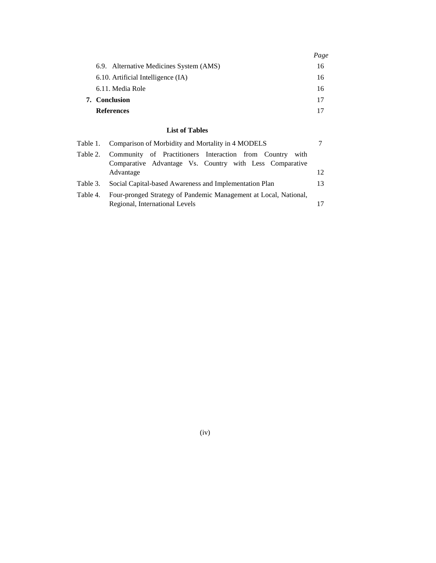|                      |                                                                                                                        | Page |
|----------------------|------------------------------------------------------------------------------------------------------------------------|------|
|                      | 6.9. Alternative Medicines System (AMS)                                                                                | 16   |
|                      | 6.10. Artificial Intelligence (IA)                                                                                     | 16   |
|                      | 6.11. Media Role                                                                                                       | 16   |
| <b>7.</b> Conclusion |                                                                                                                        | 17   |
|                      | <b>References</b>                                                                                                      | 17   |
|                      | <b>List of Tables</b>                                                                                                  |      |
| Table 1.             | Comparison of Morbidity and Mortality in 4 MODELS                                                                      |      |
| Table 2.             | Community of Practitioners Interaction from Country<br>with<br>Comparative Advantage Vs. Country with Less Comparative |      |
|                      | Advantage                                                                                                              | 12   |
| Table 3.             | Social Capital-based Awareness and Implementation Plan                                                                 | 13   |
| Table 4.             | Four-pronged Strategy of Pandemic Management at Local, National,                                                       |      |
|                      | Regional, International Levels                                                                                         | 17   |

(iv)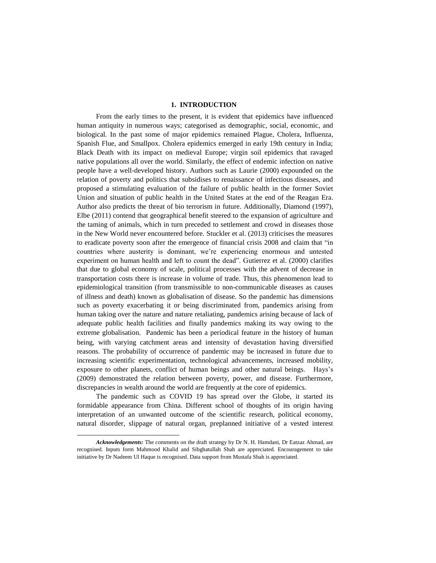# **1. INTRODUCTION\***

From the early times to the present, it is evident that epidemics have influenced human antiquity in numerous ways; categorised as demographic, social, economic, and biological. In the past some of major epidemics remained Plague, Cholera, Influenza, Spanish Flue, and Smallpox. Cholera epidemics emerged in early 19th century in India; Black Death with its impact on medieval Europe; virgin soil epidemics that ravaged native populations all over the world. Similarly, the effect of endemic infection on native people have a well-developed history. Authors such as Laurie (2000) expounded on the relation of poverty and politics that subsidises to renaissance of infectious diseases, and proposed a stimulating evaluation of the failure of public health in the former Soviet Union and situation of public health in the United States at the end of the Reagan Era. Author also predicts the threat of bio terrorism in future. Additionally, Diamond (1997), Elbe (2011) contend that geographical benefit steered to the expansion of agriculture and the taming of animals, which in turn preceded to settlement and crowd in diseases those in the New World never encountered before. Stuckler et al. (2013) criticises the measures to eradicate poverty soon after the emergence of financial crisis 2008 and claim that "in countries where austerity is dominant, we're experiencing enormous and untested experiment on human health and left to count the dead". Gutierrez et al. (2000) clarifies that due to global economy of scale, political processes with the advent of decrease in transportation costs there is increase in volume of trade. Thus, this phenomenon lead to epidemiological transition (from transmissible to non-communicable diseases as causes of illness and death) known as globalisation of disease. So the pandemic has dimensions such as poverty exacerbating it or being discriminated from, pandemics arising from human taking over the nature and nature retaliating, pandemics arising because of lack of adequate public health facilities and finally pandemics making its way owing to the extreme globalisation. Pandemic has been a periodical feature in the history of human being, with varying catchment areas and intensity of devastation having diversified reasons. The probability of occurrence of pandemic may be increased in future due to increasing scientific experimentation, technological advancements, increased mobility, exposure to other planets, conflict of human beings and other natural beings. Hays's (2009) demonstrated the relation between poverty, power, and disease. Furthermore, discrepancies in wealth around the world are frequently at the core of epidemics.

The pandemic such as COVID 19 has spread over the Globe, it started its formidable appearance from China. Different school of thoughts of its origin having interpretation of an unwanted outcome of the scientific research, political economy, natural disorder, slippage of natural organ, preplanned initiative of a vested interest

l

*Acknowledgements:* The comments on the draft strategy by Dr N. H. Hamdani, Dr Eatzaz Ahmad, are recognised. Inputs form Mahmood Khalid and Sibghatullah Shah are appreciated. Encouragement to take initiative by Dr Nadeem Ul Haque is recognised. Data support from Mustafa Shah is appreciated.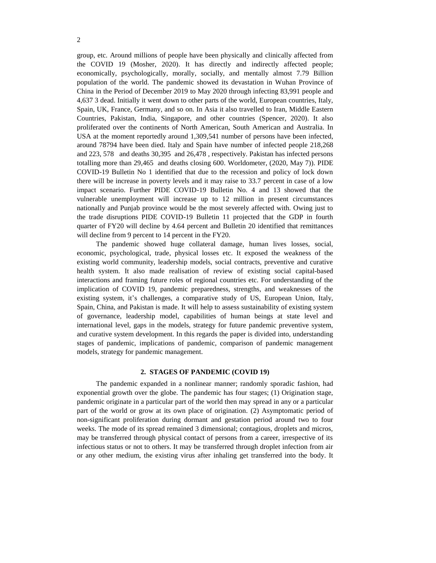group, etc. Around millions of people have been physically and clinically affected from the COVID 19 (Mosher, 2020). It has directly and indirectly affected people; economically, psychologically, morally, socially, and mentally almost 7.79 Billion population of the world. The pandemic showed its devastation in Wuhan Province of China in the Period of December 2019 to May 2020 through infecting 83,991 people and 4,637 3 dead. Initially it went down to other parts of the world, European countries, Italy, Spain, UK, France, Germany, and so on. In Asia it also travelled to Iran, Middle Eastern Countries, Pakistan, India, Singapore, and other countries (Spencer, 2020). It also proliferated over the continents of North American, South American and Australia. In USA at the moment reportedly around 1,309,541 number of persons have been infected, around 78794 have been died. Italy and Spain have number of infected people 218,268 and 223, 578 and deaths 30,395 and 26,478 , respectively. Pakistan has infected persons totalling more than 29,465 and deaths closing 600. Worldometer, (2020, May 7)). PIDE COVID-19 Bulletin No 1 identified that due to the recession and policy of lock down there will be increase in poverty levels and it may raise to 33.7 percent in case of a low impact scenario. Further PIDE COVID-19 Bulletin No. 4 and 13 showed that the vulnerable unemployment will increase up to 12 million in present circumstances nationally and Punjab province would be the most severely affected with. Owing just to the trade disruptions PIDE COVID-19 Bulletin 11 projected that the GDP in fourth quarter of FY20 will decline by 4.64 percent and Bulletin 20 identified that remittances will decline from 9 percent to 14 percent in the FY20.

The pandemic showed huge collateral damage, human lives losses, social, economic, psychological, trade, physical losses etc. It exposed the weakness of the existing world community, leadership models, social contracts, preventive and curative health system. It also made realisation of review of existing social capital-based interactions and framing future roles of regional countries etc. For understanding of the implication of COVID 19, pandemic preparedness, strengths, and weaknesses of the existing system, it's challenges, a comparative study of US, European Union, Italy, Spain, China, and Pakistan is made. It will help to assess sustainability of existing system of governance, leadership model, capabilities of human beings at state level and international level, gaps in the models, strategy for future pandemic preventive system, and curative system development. In this regards the paper is divided into, understanding stages of pandemic, implications of pandemic, comparison of pandemic management models, strategy for pandemic management.

# **2. STAGES OF PANDEMIC (COVID 19)**

The pandemic expanded in a nonlinear manner; randomly sporadic fashion, had exponential growth over the globe. The pandemic has four stages; (1) Origination stage, pandemic originate in a particular part of the world then may spread in any or a particular part of the world or grow at its own place of origination. (2) Asymptomatic period of non-significant proliferation during dormant and gestation period around two to four weeks. The mode of its spread remained 3 dimensional; contagious, droplets and micros, may be transferred through physical contact of persons from a career, irrespective of its infectious status or not to others. It may be transferred through droplet infection from air or any other medium, the existing virus after inhaling get transferred into the body. It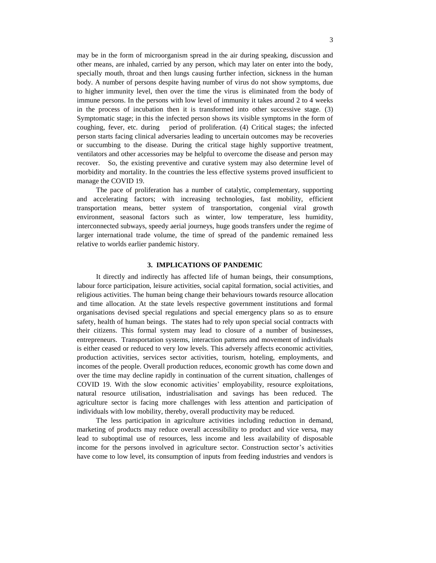may be in the form of microorganism spread in the air during speaking, discussion and other means, are inhaled, carried by any person, which may later on enter into the body, specially mouth, throat and then lungs causing further infection, sickness in the human body. A number of persons despite having number of virus do not show symptoms, due to higher immunity level, then over the time the virus is eliminated from the body of immune persons. In the persons with low level of immunity it takes around 2 to 4 weeks in the process of incubation then it is transformed into other successive stage. (3) Symptomatic stage; in this the infected person shows its visible symptoms in the form of coughing, fever, etc. during period of proliferation. (4) Critical stages; the infected person starts facing clinical adversaries leading to uncertain outcomes may be recoveries or succumbing to the disease. During the critical stage highly supportive treatment, ventilators and other accessories may be helpful to overcome the disease and person may recover. So, the existing preventive and curative system may also determine level of morbidity and mortality. In the countries the less effective systems proved insufficient to manage the COVID 19.

The pace of proliferation has a number of catalytic, complementary, supporting and accelerating factors; with increasing technologies, fast mobility, efficient transportation means, better system of transportation, congenial viral growth environment, seasonal factors such as winter, low temperature, less humidity, interconnected subways, speedy aerial journeys, huge goods transfers under the regime of larger international trade volume, the time of spread of the pandemic remained less relative to worlds earlier pandemic history.

#### **3. IMPLICATIONS OF PANDEMIC**

It directly and indirectly has affected life of human beings, their consumptions, labour force participation, leisure activities, social capital formation, social activities, and religious activities. The human being change their behaviours towards resource allocation and time allocation. At the state levels respective government institutions and formal organisations devised special regulations and special emergency plans so as to ensure safety, health of human beings. The states had to rely upon special social contracts with their citizens. This formal system may lead to closure of a number of businesses, entrepreneurs. Transportation systems, interaction patterns and movement of individuals is either ceased or reduced to very low levels. This adversely affects economic activities, production activities, services sector activities, tourism, hoteling, employments, and incomes of the people. Overall production reduces, economic growth has come down and over the time may decline rapidly in continuation of the current situation, challenges of COVID 19. With the slow economic activities' employability, resource exploitations, natural resource utilisation, industrialisation and savings has been reduced. The agriculture sector is facing more challenges with less attention and participation of individuals with low mobility, thereby, overall productivity may be reduced.

The less participation in agriculture activities including reduction in demand, marketing of products may reduce overall accessibility to product and vice versa, may lead to suboptimal use of resources, less income and less availability of disposable income for the persons involved in agriculture sector. Construction sector's activities have come to low level, its consumption of inputs from feeding industries and vendors is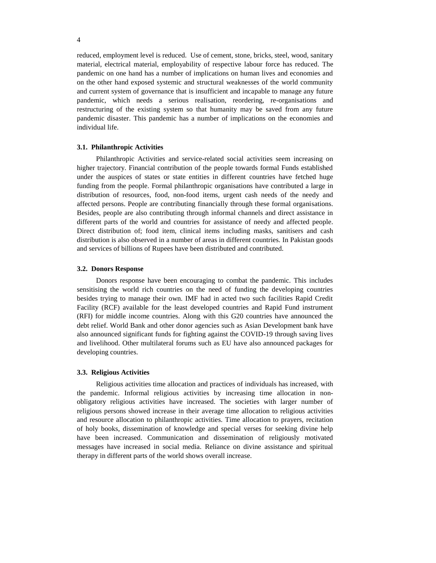reduced, employment level is reduced. Use of cement, stone, bricks, steel, wood, sanitary material, electrical material, employability of respective labour force has reduced. The pandemic on one hand has a number of implications on human lives and economies and on the other hand exposed systemic and structural weaknesses of the world community and current system of governance that is insufficient and incapable to manage any future pandemic, which needs a serious realisation, reordering, re-organisations and restructuring of the existing system so that humanity may be saved from any future pandemic disaster. This pandemic has a number of implications on the economies and individual life.

#### **3.1. Philanthropic Activities**

Philanthropic Activities and service-related social activities seem increasing on higher trajectory. Financial contribution of the people towards formal Funds established under the auspices of states or state entities in different countries have fetched huge funding from the people. Formal philanthropic organisations have contributed a large in distribution of resources, food, non-food items, urgent cash needs of the needy and affected persons. People are contributing financially through these formal organisations. Besides, people are also contributing through informal channels and direct assistance in different parts of the world and countries for assistance of needy and affected people. Direct distribution of; food item, clinical items including masks, sanitisers and cash distribution is also observed in a number of areas in different countries. In Pakistan goods and services of billions of Rupees have been distributed and contributed.

#### **3.2. Donors Response**

Donors response have been encouraging to combat the pandemic. This includes sensitising the world rich countries on the need of funding the developing countries besides trying to manage their own. IMF had in acted two such facilities Rapid Credit Facility (RCF) available for the least developed countries and Rapid Fund instrument (RFI) for middle income countries. Along with this G20 countries have announced the debt relief. World Bank and other donor agencies such as Asian Development bank have also announced significant funds for fighting against the COVID-19 through saving lives and livelihood. Other multilateral forums such as EU have also announced packages for developing countries.

#### **3.3. Religious Activities**

Religious activities time allocation and practices of individuals has increased, with the pandemic. Informal religious activities by increasing time allocation in nonobligatory religious activities have increased. The societies with larger number of religious persons showed increase in their average time allocation to religious activities and resource allocation to philanthropic activities. Time allocation to prayers, recitation of holy books, dissemination of knowledge and special verses for seeking divine help have been increased. Communication and dissemination of religiously motivated messages have increased in social media. Reliance on divine assistance and spiritual therapy in different parts of the world shows overall increase.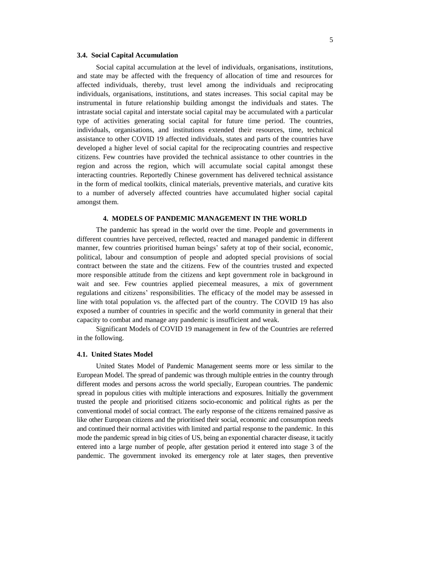## **3.4. Social Capital Accumulation**

Social capital accumulation at the level of individuals, organisations, institutions, and state may be affected with the frequency of allocation of time and resources for affected individuals, thereby, trust level among the individuals and reciprocating individuals, organisations, institutions, and states increases. This social capital may be instrumental in future relationship building amongst the individuals and states. The intrastate social capital and interstate social capital may be accumulated with a particular type of activities generating social capital for future time period. The countries, individuals, organisations, and institutions extended their resources, time, technical assistance to other COVID 19 affected individuals, states and parts of the countries have developed a higher level of social capital for the reciprocating countries and respective citizens. Few countries have provided the technical assistance to other countries in the region and across the region, which will accumulate social capital amongst these interacting countries. Reportedly Chinese government has delivered technical assistance in the form of medical toolkits, clinical materials, preventive materials, and curative kits to a number of adversely affected countries have accumulated higher social capital amongst them.

# **4. MODELS OF PANDEMIC MANAGEMENT IN THE WORLD**

The pandemic has spread in the world over the time. People and governments in different countries have perceived, reflected, reacted and managed pandemic in different manner, few countries prioritised human beings' safety at top of their social, economic, political, labour and consumption of people and adopted special provisions of social contract between the state and the citizens. Few of the countries trusted and expected more responsible attitude from the citizens and kept government role in background in wait and see. Few countries applied piecemeal measures, a mix of government regulations and citizens' responsibilities. The efficacy of the model may be assessed in line with total population vs. the affected part of the country. The COVID 19 has also exposed a number of countries in specific and the world community in general that their capacity to combat and manage any pandemic is insufficient and weak.

Significant Models of COVID 19 management in few of the Countries are referred in the following.

#### **4.1. United States Model**

United States Model of Pandemic Management seems more or less similar to the European Model. The spread of pandemic was through multiple entries in the country through different modes and persons across the world specially, European countries. The pandemic spread in populous cities with multiple interactions and exposures. Initially the government trusted the people and prioritised citizens socio-economic and political rights as per the conventional model of social contract. The early response of the citizens remained passive as like other European citizens and the prioritised their social, economic and consumption needs and continued their normal activities with limited and partial response to the pandemic. In this mode the pandemic spread in big cities of US, being an exponential character disease, it tacitly entered into a large number of people, after gestation period it entered into stage 3 of the pandemic. The government invoked its emergency role at later stages, then preventive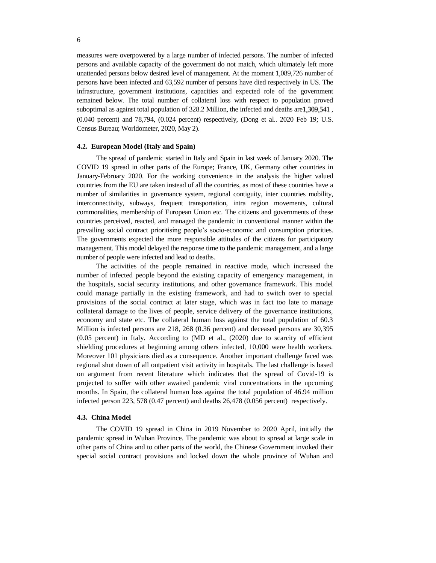measures were overpowered by a large number of infected persons. The number of infected persons and available capacity of the government do not match, which ultimately left more unattended persons below desired level of management. At the moment 1,089,726 number of persons have been infected and 63,592 number of persons have died respectively in US. The infrastructure, government institutions, capacities and expected role of the government remained below. The total number of collateral loss with respect to population proved suboptimal as against total population of 328.2 Million, the infected and deaths are1,309,541 , (0.040 percent) and 78,794, (0.024 percent) respectively, (Dong et al.. 2020 Feb 19; U.S. Census Bureau; Worldometer, 2020, May 2).

# **4.2. European Model (Italy and Spain)**

The spread of pandemic started in Italy and Spain in last week of January 2020. The COVID 19 spread in other parts of the Europe; France, UK, Germany other countries in January-February 2020. For the working convenience in the analysis the higher valued countries from the EU are taken instead of all the countries, as most of these countries have a number of similarities in governance system, regional contiguity, inter countries mobility, interconnectivity, subways, frequent transportation, intra region movements, cultural commonalities, membership of European Union etc. The citizens and governments of these countries perceived, reacted, and managed the pandemic in conventional manner within the prevailing social contract prioritising people's socio-economic and consumption priorities. The governments expected the more responsible attitudes of the citizens for participatory management. This model delayed the response time to the pandemic management, and a large number of people were infected and lead to deaths.

The activities of the people remained in reactive mode, which increased the number of infected people beyond the existing capacity of emergency management, in the hospitals, social security institutions, and other governance framework. This model could manage partially in the existing framework, and had to switch over to special provisions of the social contract at later stage, which was in fact too late to manage collateral damage to the lives of people, service delivery of the governance institutions, economy and state etc. The collateral human loss against the total population of 60.3 Million is infected persons are 218, 268 (0.36 percent) and deceased persons are 30,395 (0.05 percent) in Italy. According to (MD et al., (2020) due to scarcity of efficient shielding procedures at beginning among others infected, 10,000 were health workers. Moreover 101 physicians died as a consequence. Another important challenge faced was regional shut down of all outpatient visit activity in hospitals. The last challenge is based on argument from recent literature which indicates that the spread of Covid-19 is projected to suffer with other awaited pandemic viral concentrations in the upcoming months. In Spain, the collateral human loss against the total population of 46.94 million infected person 223, 578 (0.47 percent) and deaths 26,478 (0.056 percent) respectively.

#### **4.3. China Model**

The COVID 19 spread in China in 2019 November to 2020 April, initially the pandemic spread in Wuhan Province. The pandemic was about to spread at large scale in other parts of China and to other parts of the world, the Chinese Government invoked their special social contract provisions and locked down the whole province of Wuhan and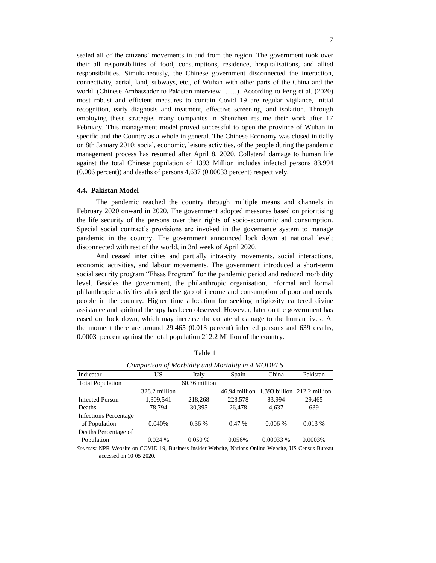sealed all of the citizens' movements in and from the region. The government took over their all responsibilities of food, consumptions, residence, hospitalisations, and allied responsibilities. Simultaneously, the Chinese government disconnected the interaction, connectivity, aerial, land, subways, etc., of Wuhan with other parts of the China and the world. (Chinese Ambassador to Pakistan interview ……). According to Feng et al. (2020) most robust and efficient measures to contain Covid 19 are regular vigilance, initial recognition, early diagnosis and treatment, effective screening, and isolation. Through employing these strategies many companies in Shenzhen resume their work after 17 February. This management model proved successful to open the province of Wuhan in specific and the Country as a whole in general. The Chinese Economy was closed initially on 8th January 2010; social, economic, leisure activities, of the people during the pandemic management process has resumed after April 8, 2020. Collateral damage to human life against the total Chinese population of 1393 Million includes infected persons 83,994 (0.006 percent)) and deaths of persons 4,637 (0.00033 percent) respectively.

#### **4.4. Pakistan Model**

The pandemic reached the country through multiple means and channels in February 2020 onward in 2020. The government adopted measures based on prioritising the life security of the persons over their rights of socio-economic and consumption. Special social contract's provisions are invoked in the governance system to manage pandemic in the country. The government announced lock down at national level; disconnected with rest of the world, in 3rd week of April 2020.

And ceased inter cities and partially intra-city movements, social interactions, economic activities, and labour movements. The government introduced a short-term social security program "Ehsas Program" for the pandemic period and reduced morbidity level. Besides the government, the philanthropic organisation, informal and formal philanthropic activities abridged the gap of income and consumption of poor and needy people in the country. Higher time allocation for seeking religiosity cantered divine assistance and spiritual therapy has been observed. However, later on the government has eased out lock down, which may increase the collateral damage to the human lives. At the moment there are around 29,465 (0.013 percent) infected persons and 639 deaths, 0.0003 percent against the total population 212.2 Million of the country.

| Indicator                    | US            | Italy           | Spain   | China    | Pakistan                                    |
|------------------------------|---------------|-----------------|---------|----------|---------------------------------------------|
| <b>Total Population</b>      |               | $60.36$ million |         |          |                                             |
|                              | 328.2 million |                 |         |          | $46.94$ million 1.393 billion 212.2 million |
| <b>Infected Person</b>       | 1,309,541     | 218,268         | 223,578 | 83.994   | 29,465                                      |
| Deaths                       | 78.794        | 30.395          | 26,478  | 4.637    | 639                                         |
| <b>Infections Percentage</b> |               |                 |         |          |                                             |
| of Population                | 0.040%        | 0.36%           | 0.47%   | 0.006 %  | 0.013%                                      |
| Deaths Percentage of         |               |                 |         |          |                                             |
| Population                   | 0.024%        | 0.050%          | 0.056%  | 0.00033% | 0.0003%                                     |

Table 1

*Comparison of Morbidity and Mortality in 4 MODELS*

*Sources:* NPR Website on COVID 19, Business Insider Website, Nations Online Website, US Census Bureau accessed on 10-05-2020.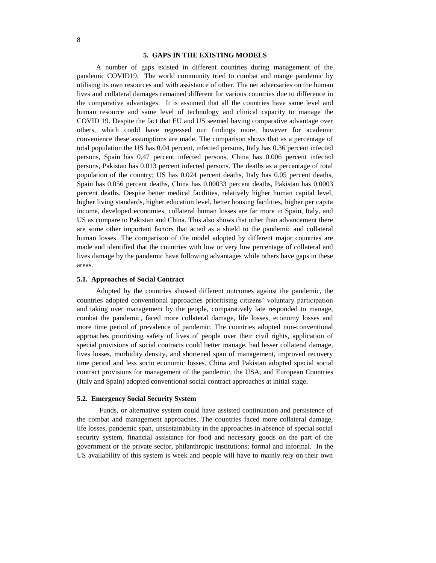# **5. GAPS IN THE EXISTING MODELS**

A number of gaps existed in different countries during management of the pandemic COVID19. The world community tried to combat and mange pandemic by utilising its own resources and with assistance of other. The net adversaries on the human lives and collateral damages remained different for various countries due to difference in the comparative advantages. It is assumed that all the countries have same level and human resource and same level of technology and clinical capacity to manage the COVID 19. Despite the fact that EU and US seemed having comparative advantage over others, which could have regressed our findings more, however for academic convenience these assumptions are made. The comparison shows that as a percentage of total population the US has 0.04 percent, infected persons, Italy has 0.36 percent infected persons, Spain has 0.47 percent infected persons, China has 0.006 percent infected persons, Pakistan has 0.013 percent infected persons. The deaths as a percentage of total population of the country; US has 0.024 percent deaths, Italy has 0.05 percent deaths, Spain has 0.056 percent deaths, China has 0.00033 percent deaths, Pakistan has 0.0003 percent deaths. Despite better medical facilities, relatively higher human capital level, higher living standards, higher education level, better housing facilities, higher per capita income, developed economies, collateral human losses are far more in Spain, Italy, and US as compare to Pakistan and China. This also shows that other than advancement there are some other important factors that acted as a shield to the pandemic and collateral human losses. The comparison of the model adopted by different major countries are made and identified that the countries with low or very low percentage of collateral and lives damage by the pandemic have following advantages while others have gaps in these areas.

### **5.1. Approaches of Social Contract**

Adopted by the countries showed different outcomes against the pandemic, the countries adopted conventional approaches prioritising citizens' voluntary participation and taking over management by the people, comparatively late responded to manage, combat the pandemic, faced more collateral damage, life losses, economy losses and more time period of prevalence of pandemic. The countries adopted non-conventional approaches prioritising safety of lives of people over their civil rights, application of special provisions of social contracts could better manage, had lesser collateral damage, lives losses, morbidity density, and shortened span of management, improved recovery time period and less socio economic losses. China and Pakistan adopted special social contract provisions for management of the pandemic, the USA, and European Countries (Italy and Spain) adopted conventional social contract approaches at initial stage.

#### **5.2. Emergency Social Security System**

Funds, or alternative system could have assisted continuation and persistence of the combat and management approaches. The countries faced more collateral damage, life losses, pandemic span, unsustainability in the approaches in absence of special social security system, financial assistance for food and necessary goods on the part of the government or the private sector, philanthropic institutions; formal and informal. In the US availability of this system is week and people will have to mainly rely on their own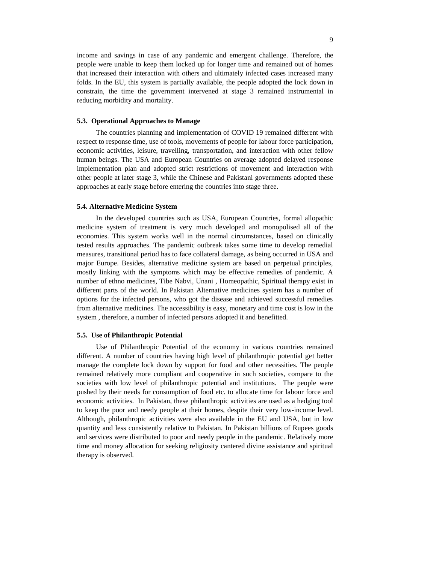income and savings in case of any pandemic and emergent challenge. Therefore, the people were unable to keep them locked up for longer time and remained out of homes that increased their interaction with others and ultimately infected cases increased many folds. In the EU, this system is partially available, the people adopted the lock down in constrain, the time the government intervened at stage 3 remained instrumental in reducing morbidity and mortality.

# **5.3. Operational Approaches to Manage**

The countries planning and implementation of COVID 19 remained different with respect to response time, use of tools, movements of people for labour force participation, economic activities, leisure, travelling, transportation, and interaction with other fellow human beings. The USA and European Countries on average adopted delayed response implementation plan and adopted strict restrictions of movement and interaction with other people at later stage 3, while the Chinese and Pakistani governments adopted these approaches at early stage before entering the countries into stage three.

# **5.4. Alternative Medicine System**

In the developed countries such as USA, European Countries, formal allopathic medicine system of treatment is very much developed and monopolised all of the economies. This system works well in the normal circumstances, based on clinically tested results approaches. The pandemic outbreak takes some time to develop remedial measures, transitional period has to face collateral damage, as being occurred in USA and major Europe. Besides, alternative medicine system are based on perpetual principles, mostly linking with the symptoms which may be effective remedies of pandemic. A number of ethno medicines, Tibe Nabvi, Unani , Homeopathic, Spiritual therapy exist in different parts of the world. In Pakistan Alternative medicines system has a number of options for the infected persons, who got the disease and achieved successful remedies from alternative medicines. The accessibility is easy, monetary and time cost is low in the system , therefore, a number of infected persons adopted it and benefitted.

#### **5.5. Use of Philanthropic Potential**

Use of Philanthropic Potential of the economy in various countries remained different. A number of countries having high level of philanthropic potential get better manage the complete lock down by support for food and other necessities. The people remained relatively more compliant and cooperative in such societies, compare to the societies with low level of philanthropic potential and institutions. The people were pushed by their needs for consumption of food etc. to allocate time for labour force and economic activities. In Pakistan, these philanthropic activities are used as a hedging tool to keep the poor and needy people at their homes, despite their very low-income level. Although, philanthropic activities were also available in the EU and USA, but in low quantity and less consistently relative to Pakistan. In Pakistan billions of Rupees goods and services were distributed to poor and needy people in the pandemic. Relatively more time and money allocation for seeking religiosity cantered divine assistance and spiritual therapy is observed.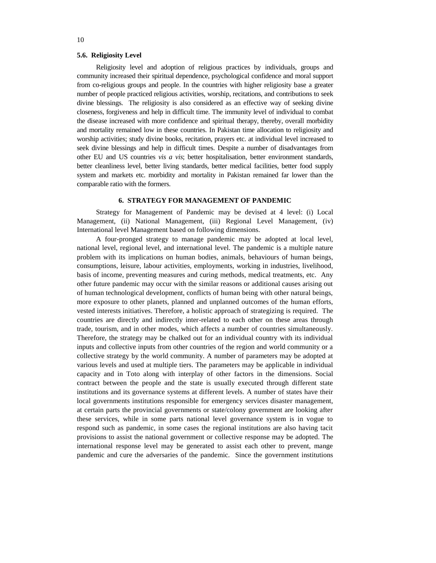## **5.6. Religiosity Level**

Religiosity level and adoption of religious practices by individuals, groups and community increased their spiritual dependence, psychological confidence and moral support from co-religious groups and people. In the countries with higher religiosity base a greater number of people practiced religious activities, worship, recitations, and contributions to seek divine blessings. The religiosity is also considered as an effective way of seeking divine closeness, forgiveness and help in difficult time. The immunity level of individual to combat the disease increased with more confidence and spiritual therapy, thereby, overall morbidity and mortality remained low in these countries. In Pakistan time allocation to religiosity and worship activities; study divine books, recitation, prayers etc. at individual level increased to seek divine blessings and help in difficult times. Despite a number of disadvantages from other EU and US countries *vis a vis*; better hospitalisation, better environment standards, better cleanliness level, better living standards, better medical facilities, better food supply system and markets etc. morbidity and mortality in Pakistan remained far lower than the comparable ratio with the formers.

#### **6. STRATEGY FOR MANAGEMENT OF PANDEMIC**

Strategy for Management of Pandemic may be devised at 4 level: (i) Local Management, (ii) National Management, (iii) Regional Level Management, (iv) International level Management based on following dimensions.

A four-pronged strategy to manage pandemic may be adopted at local level, national level, regional level, and international level. The pandemic is a multiple nature problem with its implications on human bodies, animals, behaviours of human beings, consumptions, leisure, labour activities, employments, working in industries, livelihood, basis of income, preventing measures and curing methods, medical treatments, etc. Any other future pandemic may occur with the similar reasons or additional causes arising out of human technological development, conflicts of human being with other natural beings, more exposure to other planets, planned and unplanned outcomes of the human efforts, vested interests initiatives. Therefore, a holistic approach of strategizing is required. The countries are directly and indirectly inter-related to each other on these areas through trade, tourism, and in other modes, which affects a number of countries simultaneously. Therefore, the strategy may be chalked out for an individual country with its individual inputs and collective inputs from other countries of the region and world community or a collective strategy by the world community. A number of parameters may be adopted at various levels and used at multiple tiers. The parameters may be applicable in individual capacity and in Toto along with interplay of other factors in the dimensions. Social contract between the people and the state is usually executed through different state institutions and its governance systems at different levels. A number of states have their local governments institutions responsible for emergency services disaster management, at certain parts the provincial governments or state/colony government are looking after these services, while in some parts national level governance system is in vogue to respond such as pandemic, in some cases the regional institutions are also having tacit provisions to assist the national government or collective response may be adopted. The international response level may be generated to assist each other to prevent, mange pandemic and cure the adversaries of the pandemic. Since the government institutions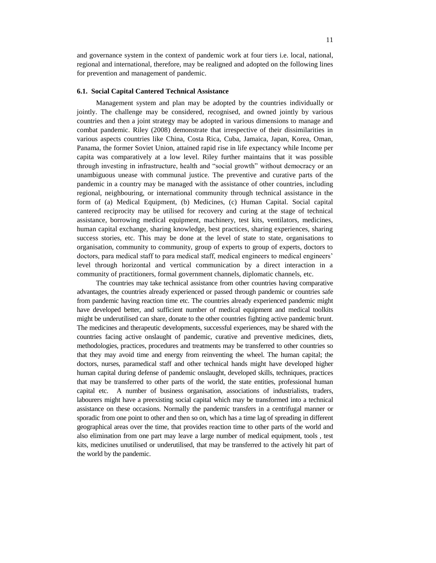and governance system in the context of pandemic work at four tiers i.e. local, national, regional and international, therefore, may be realigned and adopted on the following lines for prevention and management of pandemic.

#### **6.1. Social Capital Cantered Technical Assistance**

Management system and plan may be adopted by the countries individually or jointly. The challenge may be considered, recognised, and owned jointly by various countries and then a joint strategy may be adopted in various dimensions to manage and combat pandemic. Riley (2008) demonstrate that irrespective of their dissimilarities in various aspects countries like China, Costa Rica, Cuba, Jamaica, Japan, Korea, Oman, Panama, the former Soviet Union, attained rapid rise in life expectancy while Income per capita was comparatively at a low level. Riley further maintains that it was possible through investing in infrastructure, health and "social growth" without democracy or an unambiguous unease with communal justice. The preventive and curative parts of the pandemic in a country may be managed with the assistance of other countries, including regional, neighbouring, or international community through technical assistance in the form of (a) Medical Equipment, (b) Medicines, (c) Human Capital. Social capital cantered reciprocity may be utilised for recovery and curing at the stage of technical assistance, borrowing medical equipment, machinery, test kits, ventilators, medicines, human capital exchange, sharing knowledge, best practices, sharing experiences, sharing success stories, etc. This may be done at the level of state to state, organisations to organisation, community to community, group of experts to group of experts, doctors to doctors, para medical staff to para medical staff, medical engineers to medical engineers' level through horizontal and vertical communication by a direct interaction in a community of practitioners, formal government channels, diplomatic channels, etc.

The countries may take technical assistance from other countries having comparative advantages, the countries already experienced or passed through pandemic or countries safe from pandemic having reaction time etc. The countries already experienced pandemic might have developed better, and sufficient number of medical equipment and medical toolkits might be underutilised can share, donate to the other countries fighting active pandemic brunt. The medicines and therapeutic developments, successful experiences, may be shared with the countries facing active onslaught of pandemic, curative and preventive medicines, diets, methodologies, practices, procedures and treatments may be transferred to other countries so that they may avoid time and energy from reinventing the wheel. The human capital; the doctors, nurses, paramedical staff and other technical hands might have developed higher human capital during defense of pandemic onslaught, developed skills, techniques, practices that may be transferred to other parts of the world, the state entities, professional human capital etc. A number of business organisation, associations of industrialists, traders, labourers might have a preexisting social capital which may be transformed into a technical assistance on these occasions. Normally the pandemic transfers in a centrifugal manner or sporadic from one point to other and then so on, which has a time lag of spreading in different geographical areas over the time, that provides reaction time to other parts of the world and also elimination from one part may leave a large number of medical equipment, tools , test kits, medicines unutilised or underutilised, that may be transferred to the actively hit part of the world by the pandemic.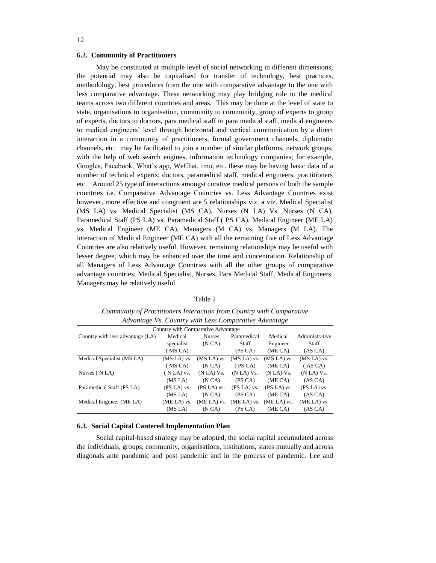# 12

#### **6.2. Community of Practitioners**

May be constituted at multiple level of social networking in different dimensions, the potential may also be capitalised for transfer of technology, best practices, methodology, best procedures from the one with comparative advantage to the one with less comparative advantage. These networking may play bridging role to the medical teams across two different countries and areas. This may be done at the level of state to state, organisations to organisation, community to community, group of experts to group of experts, doctors to doctors, para medical staff to para medical staff, medical engineers to medical engineers' level through horizontal and vertical communication by a direct interaction in a community of practitioners, formal government channels, diplomatic channels, etc. may be facilitated to join a number of similar platforms, network groups, with the help of web search engines, information technology companies; for example, Googles, Facebook, What's app, WeChat, imo, etc. these may be having basic data of a number of technical experts; doctors, paramedical staff, medical engineers, practitioners etc. Around 25 type of interactions amongst curative medical persons of both the sample countries i.e. Comparative Advantage Countries vs. Less Advantage Countries exist however, more effective and congruent are 5 relationships viz. a viz. Medical Specialist (MS LA) vs. Medical Specialist (MS CA), Nurses (N LA) Vs. Nurses (N CA), Paramedical Staff (PS LA) vs. Paramedical Staff ( PS CA), Medical Engineer (ME LA) vs. Medical Engineer (ME CA), Managers (M CA) vs. Managers (M LA). The interaction of Medical Engineer (ME CA) with all the remaining five of Less Advantage Countries are also relatively useful. However, remaining relationships may be useful with lesser degree, which may be enhanced over the time and concentration. Relationship of all Managers of Less Advantage Countries with all the other groups of comparative advantage countries; Medical Specialist, Nurses, Para Medical Staff, Medical Engineers, Managers may be relatively useful.

#### Table 2

*Community of Practitioners Interaction from Country with Comparative Advantage Vs. Country with Less Comparative Advantage*

| Country with Comparative Advantage |               |               |               |               |                |
|------------------------------------|---------------|---------------|---------------|---------------|----------------|
| Country with less advantage (LA)   | Medical       | <b>Nurses</b> | Paramedical   | Medical       | Administrative |
|                                    | specialist    | (NCA)         | <b>Staff</b>  | Engineer      | Staff          |
|                                    | (MSCA)        |               | (PS CA)       | (ME CA)       | (AS CA)        |
| Medical Specialist (MS LA)         | $(MS LA)$ vs. | (MS LA) vs.   | $(MS LA)$ vs. | $(MS LA)$ vs. | (MS LA) vs.    |
|                                    | (MSCA)        | (NCA)         | (PS CA)       | (ME CA)       | (AS CA)        |
| Nurses (NLA)                       | $(NLA)$ vs.   | $(N LA) Vs$ . | $(N LA) Vs$ . | $(N LA) Vs$ . | $(N LA) Vs$ .  |
|                                    | (MS LA)       | (NCA)         | (PS CA)       | (ME CA)       | (AS CA)        |
| Paramedical Staff (PS LA)          | (PS LA) vs.   | $(PS LA)$ vs. | $(PS LA)$ vs. | (PS LA) vs.   | (PS LA) vs.    |
|                                    | (MS LA)       | (NCA)         | (PS CA)       | (ME CA)       | (AS CA)        |
| Medical Engineer (ME LA)           | (ME LA) vs.   | (ME LA) vs.   | $(ME LA)$ vs. | (ME LA) vs.   | (ME LA) vs.    |
|                                    | (MS LA)       | (NCA)         | (PS CA)       | (ME CA)       | (AS CA)        |

#### **6.3. Social Capital Cantered Implementation Plan**

Social capital-based strategy may be adopted, the social capital accumulated across the individuals, groups, community, organisations, institutions, states mutually and across diagonals ante pandemic and post pandemic and in the process of pandemic. Lee and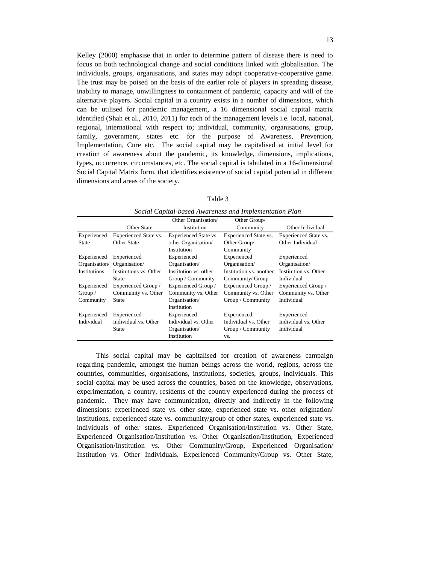Kelley (2000) emphasise that in order to determine pattern of disease there is need to focus on both technological change and social conditions linked with globalisation. The individuals, groups, organisations, and states may adopt cooperative-cooperative game. The trust may be poised on the basis of the earlier role of players in spreading disease, inability to manage, unwillingness to containment of pandemic, capacity and will of the alternative players. Social capital in a country exists in a number of dimensions, which can be utilised for pandemic management, a 16 dimensional social capital matrix identified (Shah et al., 2010, 2011) for each of the management levels i.e. local, national, regional, international with respect to; individual, community, organisations, group, family, government, states etc. for the purpose of Awareness, Prevention, Implementation, Cure etc. The social capital may be capitalised at initial level for creation of awareness about the pandemic, its knowledge, dimensions, implications, types, occurrence, circumstances, etc. The social capital is tabulated in a 16-dimensional Social Capital Matrix form, that identifies existence of social capital potential in different dimensions and areas of the society.

| ۹ |  |
|---|--|
|   |  |

| social Capual-based Awareness and Implementation I lan |                        |                              |                              |                       |
|--------------------------------------------------------|------------------------|------------------------------|------------------------------|-----------------------|
|                                                        |                        | Other Organisation/          | Other Group/                 |                       |
|                                                        | <b>Other State</b>     | Institution                  | Community                    | Other Individual      |
| Experienced                                            | Experienced State vs.  | <b>Experienced State vs.</b> | <b>Experienced State vs.</b> | Experienced State vs. |
| <b>State</b>                                           | <b>Other State</b>     | other Organisation/          | Other Group/                 | Other Individual      |
|                                                        |                        | <b>Institution</b>           | Community                    |                       |
| Experienced                                            | Experienced            | Experienced                  | Experienced                  | Experienced           |
| Organisation/                                          | Organisation/          | Organisation/                | Organisation/                | Organisation/         |
| Institutions                                           | Institutions vs. Other | Institution vs. other        | Institution vs. another      | Institution vs. Other |
|                                                        | State                  | Group / Community            | Community/ Group             | Individual            |
| Experienced                                            | Experienced Group /    | Experienced Group /          | Experienced Group /          | Experienced Group /   |
| Group $\sqrt{}$                                        | Community vs. Other    | Community vs. Other          | Community vs. Other          | Community vs. Other   |
| Community                                              | State                  | Organisation/                | Group / Community            | Individual            |
|                                                        |                        | Institution                  |                              |                       |
| Experienced                                            | Experienced            | Experienced                  | Experienced                  | Experienced           |
| Individual                                             | Individual vs. Other   | Individual vs. Other         | Individual vs. Other         | Individual vs. Other  |
|                                                        | State                  | Organisation/                | Group / Community            | Individual            |
|                                                        |                        | Institution                  | VS.                          |                       |

*Social Capital-based Awareness and Implementation Plan*

This social capital may be capitalised for creation of awareness campaign regarding pandemic, amongst the human beings across the world, regions, across the countries, communities, organisations, institutions, societies, groups, individuals. This social capital may be used across the countries, based on the knowledge, observations, experimentation, a country, residents of the country experienced during the process of pandemic. They may have communication, directly and indirectly in the following dimensions: experienced state vs. other state, experienced state vs. other origination/ institutions, experienced state vs. community/group of other states, experienced state vs. individuals of other states. Experienced Organisation/Institution vs. Other State, Experienced Organisation/Institution vs. Other Organisation/Institution, Experienced Organisation/Institution vs. Other Community/Group, Experienced Organisation/ Institution vs. Other Individuals. Experienced Community/Group vs. Other State,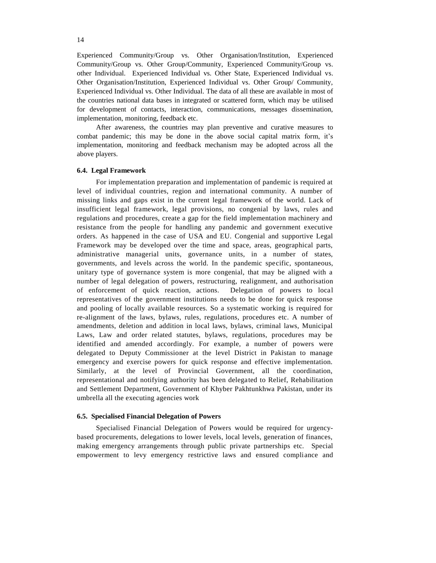Experienced Community/Group vs. Other Organisation/Institution, Experienced Community/Group vs. Other Group/Community, Experienced Community/Group vs. other Individual. Experienced Individual vs. Other State, Experienced Individual vs. Other Organisation/Institution, Experienced Individual vs. Other Group/ Community, Experienced Individual vs. Other Individual. The data of all these are available in most of the countries national data bases in integrated or scattered form, which may be utilised for development of contacts, interaction, communications, messages dissemination, implementation, monitoring, feedback etc.

After awareness, the countries may plan preventive and curative measures to combat pandemic; this may be done in the above social capital matrix form, it's implementation, monitoring and feedback mechanism may be adopted across all the above players.

# **6.4. Legal Framework**

For implementation preparation and implementation of pandemic is required at level of individual countries, region and international community. A number of missing links and gaps exist in the current legal framework of the world. Lack of insufficient legal framework, legal provisions, no congenial by laws, rules and regulations and procedures, create a gap for the field implementation machinery and resistance from the people for handling any pandemic and government executive orders. As happened in the case of USA and EU. Congenial and supportive Legal Framework may be developed over the time and space, areas, geographical parts, administrative managerial units, governance units, in a number of states, governments, and levels across the world. In the pandemic specific, spontaneous, unitary type of governance system is more congenial, that may be aligned with a number of legal delegation of powers, restructuring, realignment, and authorisation of enforcement of quick reaction, actions. Delegation of powers to local representatives of the government institutions needs to be done for quick response and pooling of locally available resources. So a systematic working is required for re-alignment of the laws, bylaws, rules, regulations, procedures etc. A number of amendments, deletion and addition in local laws, bylaws, criminal laws, Municipal Laws, Law and order related statutes, bylaws, regulations, procedures may be identified and amended accordingly. For example, a number of powers were delegated to Deputy Commissioner at the level District in Pakistan to manage emergency and exercise powers for quick response and effective implementation. Similarly, at the level of Provincial Government, all the coordination, representational and notifying authority has been delegated to Relief, Rehabilitation and Settlement Department, Government of Khyber Pakhtunkhwa Pakistan, under its umbrella all the executing agencies work

#### **6.5. Specialised Financial Delegation of Powers**

Specialised Financial Delegation of Powers would be required for urgencybased procurements, delegations to lower levels, local levels, generation of finances, making emergency arrangements through public private partnerships etc. Special empowerment to levy emergency restrictive laws and ensured compliance and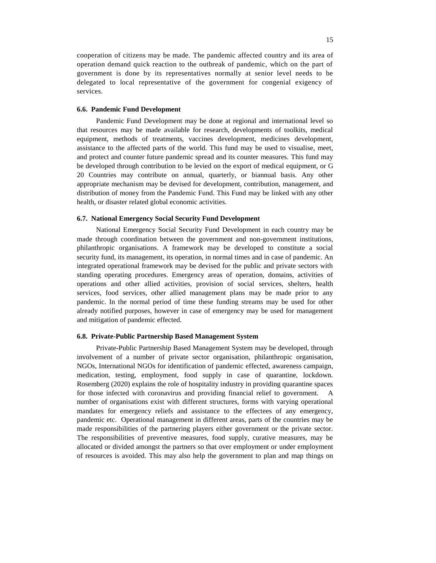cooperation of citizens may be made. The pandemic affected country and its area of operation demand quick reaction to the outbreak of pandemic, which on the part of government is done by its representatives normally at senior level needs to be delegated to local representative of the government for congenial exigency of services.

# **6.6. Pandemic Fund Development**

Pandemic Fund Development may be done at regional and international level so that resources may be made available for research, developments of toolkits, medical equipment, methods of treatments, vaccines development, medicines development, assistance to the affected parts of the world. This fund may be used to visualise, meet, and protect and counter future pandemic spread and its counter measures. This fund may be developed through contribution to be levied on the export of medical equipment, or G 20 Countries may contribute on annual, quarterly, or biannual basis. Any other appropriate mechanism may be devised for development, contribution, management, and distribution of money from the Pandemic Fund. This Fund may be linked with any other health, or disaster related global economic activities.

# **6.7. National Emergency Social Security Fund Development**

National Emergency Social Security Fund Development in each country may be made through coordination between the government and non-government institutions, philanthropic organisations. A framework may be developed to constitute a social security fund, its management, its operation, in normal times and in case of pandemic. An integrated operational framework may be devised for the public and private sectors with standing operating procedures. Emergency areas of operation, domains, activities of operations and other allied activities, provision of social services, shelters, health services, food services, other allied management plans may be made prior to any pandemic. In the normal period of time these funding streams may be used for other already notified purposes, however in case of emergency may be used for management and mitigation of pandemic effected.

# **6.8. Private-Public Partnership Based Management System**

Private-Public Partnership Based Management System may be developed, through involvement of a number of private sector organisation, philanthropic organisation, NGOs, International NGOs for identification of pandemic effected, awareness campaign, medication, testing, employment, food supply in case of quarantine, lockdown. Rosemberg (2020) explains the role of hospitality industry in providing quarantine spaces for those infected with coronavirus and providing financial relief to government. A number of organisations exist with different structures, forms with varying operational mandates for emergency reliefs and assistance to the effectees of any emergency, pandemic etc. Operational management in different areas, parts of the countries may be made responsibilities of the partnering players either government or the private sector. The responsibilities of preventive measures, food supply, curative measures, may be allocated or divided amongst the partners so that over employment or under employment of resources is avoided. This may also help the government to plan and map things on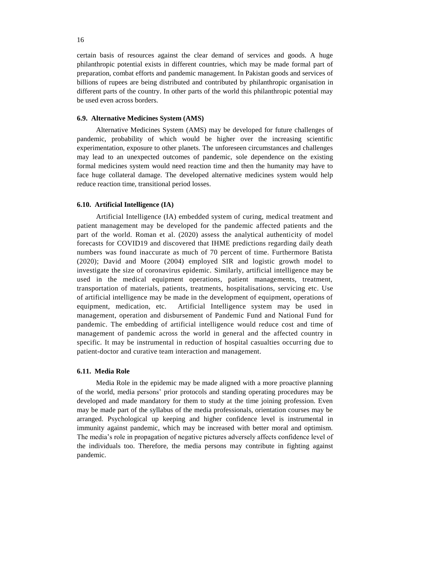certain basis of resources against the clear demand of services and goods. A huge philanthropic potential exists in different countries, which may be made formal part of preparation, combat efforts and pandemic management. In Pakistan goods and services of billions of rupees are being distributed and contributed by philanthropic organisation in different parts of the country. In other parts of the world this philanthropic potential may be used even across borders.

# **6.9. Alternative Medicines System (AMS)**

Alternative Medicines System (AMS) may be developed for future challenges of pandemic, probability of which would be higher over the increasing scientific experimentation, exposure to other planets. The unforeseen circumstances and challenges may lead to an unexpected outcomes of pandemic, sole dependence on the existing formal medicines system would need reaction time and then the humanity may have to face huge collateral damage. The developed alternative medicines system would help reduce reaction time, transitional period losses.

# **6.10. Artificial Intelligence (IA)**

Artificial Intelligence (IA) embedded system of curing, medical treatment and patient management may be developed for the pandemic affected patients and the part of the world. Roman et al. (2020) assess the analytical authenticity of model forecasts for COVID19 and discovered that IHME predictions regarding daily death numbers was found inaccurate as much of 70 percent of time. Furthermore Batista (2020); David and Moore (2004) employed SIR and logistic growth model to investigate the size of coronavirus epidemic. Similarly, artificial intelligence may be used in the medical equipment operations, patient managements, treatment, transportation of materials, patients, treatments, hospitalisations, servicing etc. Use of artificial intelligence may be made in the development of equipment, operations of equipment, medication, etc. Artificial Intelligence system may be used in management, operation and disbursement of Pandemic Fund and National Fund for pandemic. The embedding of artificial intelligence would reduce cost and time of management of pandemic across the world in general and the affected country in specific. It may be instrumental in reduction of hospital casualties occurring due to patient-doctor and curative team interaction and management.

#### **6.11. Media Role**

Media Role in the epidemic may be made aligned with a more proactive planning of the world, media persons' prior protocols and standing operating procedures may be developed and made mandatory for them to study at the time joining profession. Even may be made part of the syllabus of the media professionals, orientation courses may be arranged. Psychological up keeping and higher confidence level is instrumental in immunity against pandemic, which may be increased with better moral and optimism. The media's role in propagation of negative pictures adversely affects confidence level of the individuals too. Therefore, the media persons may contribute in fighting against pandemic.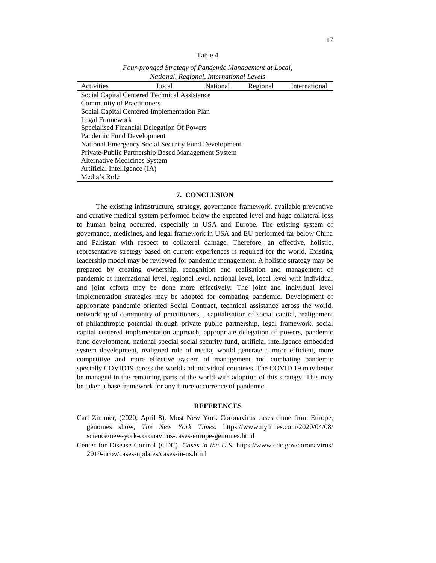|  | ani |  |  |
|--|-----|--|--|
|--|-----|--|--|

*Four-pronged Strategy of Pandemic Management at Local, National, Regional, International Levels*

| <i>Handhan, Regionari, Hillerianonal Levels</i>     |                                            |          |          |               |  |
|-----------------------------------------------------|--------------------------------------------|----------|----------|---------------|--|
| Activities                                          | Local                                      | National | Regional | International |  |
| Social Capital Centered Technical Assistance        |                                            |          |          |               |  |
| <b>Community of Practitioners</b>                   |                                            |          |          |               |  |
| Social Capital Centered Implementation Plan         |                                            |          |          |               |  |
| Legal Framework                                     |                                            |          |          |               |  |
|                                                     | Specialised Financial Delegation Of Powers |          |          |               |  |
| Pandemic Fund Development                           |                                            |          |          |               |  |
| National Emergency Social Security Fund Development |                                            |          |          |               |  |
| Private-Public Partnership Based Management System  |                                            |          |          |               |  |
| <b>Alternative Medicines System</b>                 |                                            |          |          |               |  |
| Artificial Intelligence (IA)                        |                                            |          |          |               |  |
| Media's Role                                        |                                            |          |          |               |  |

#### **7. CONCLUSION**

The existing infrastructure, strategy, governance framework, available preventive and curative medical system performed below the expected level and huge collateral loss to human being occurred, especially in USA and Europe. The existing system of governance, medicines, and legal framework in USA and EU performed far below China and Pakistan with respect to collateral damage. Therefore, an effective, holistic, representative strategy based on current experiences is required for the world. Existing leadership model may be reviewed for pandemic management. A holistic strategy may be prepared by creating ownership, recognition and realisation and management of pandemic at international level, regional level, national level, local level with individual and joint efforts may be done more effectively. The joint and individual level implementation strategies may be adopted for combating pandemic. Development of appropriate pandemic oriented Social Contract, technical assistance across the world, networking of community of practitioners, , capitalisation of social capital, realignment of philanthropic potential through private public partnership, legal framework, social capital centered implementation approach, appropriate delegation of powers, pandemic fund development, national special social security fund, artificial intelligence embedded system development, realigned role of media, would generate a more efficient, more competitive and more effective system of management and combating pandemic specially COVID19 across the world and individual countries. The COVID 19 may better be managed in the remaining parts of the world with adoption of this strategy. This may be taken a base framework for any future occurrence of pandemic.

#### **REFERENCES**

- Carl Zimmer, (2020, April 8). Most New York Coronavirus cases came from Europe, genomes show, *The New York Times.* https://www.nytimes.com/2020/04/08/ science/new-york-coronavirus-cases-europe-genomes.html
- Center for Disease Control (CDC). *Cases in the U.S.* https://www.cdc.gov/coronavirus/ 2019-ncov/cases-updates/cases-in-us.html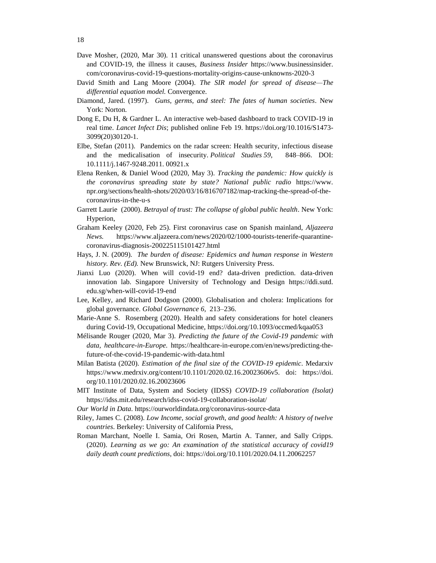- Dave Mosher, (2020, Mar 30). 11 critical unanswered questions about the coronavirus and COVID-19, the illness it causes, *Business Insider* https://www.businessinsider. com/coronavirus-covid-19-questions-mortality-origins-cause-unknowns-2020-3
- David Smith and Lang Moore (2004). *The SIR model for spread of disease—The differential equation model.* Convergence.
- Diamond, Jared. (1997). *Guns, germs, and steel: The fates of human societies*. New York: Norton.
- Dong E, Du H, & Gardner L. An interactive web-based dashboard to track COVID-19 in real time. *Lancet Infect Dis*; published online Feb 19. https://doi.org/10.1016/S1473- 3099(20)30120-1.
- Elbe, Stefan (2011). Pandemics on the radar screen: Health security, infectious disease and the medicalisation of insecurity. *Political Studies 59,* 848–866. DOI: 10.1111/j.1467-9248.2011. 00921.x
- Elena Renken, & Daniel Wood (2020, May 3). *Tracking the pandemic: How quickly is the coronavirus spreading state by state? National public radio* https://www. npr.org/sections/health-shots/2020/03/16/816707182/map-tracking-the-spread-of-thecoronavirus-in-the-u-s
- Garrett Laurie (2000). *Betrayal of trust: The collapse of global public health*. New York: Hyperion,
- Graham Keeley (2020, Feb 25). First coronavirus case on Spanish mainland, *Aljazeera News.* https://www.aljazeera.com/news/2020/02/1000-tourists-tenerife-quarantinecoronavirus-diagnosis-200225115101427.html
- Hays, J. N. (2009). *The burden of disease: Epidemics and human response in Western history. Rev. (Ed).* New Brunswick, NJ: Rutgers University Press.
- Jianxi Luo (2020). When will covid-19 end? data-driven prediction. data-driven innovation lab. Singapore University of Technology and Design https://ddi.sutd. edu.sg/when-will-covid-19-end
- Lee, Kelley, and Richard Dodgson (2000). Globalisation and cholera: Implications for global governance. *Global Governance 6,* 213–236.
- Marie-Anne S. Rosemberg (2020). Health and safety considerations for hotel cleaners during Covid-19, Occupational Medicine, https://doi.org/10.1093/occmed/kqaa053
- Mélisande Rouger (2020, Mar 3). *Predicting the future of the Covid-19 pandemic with data, healthcare-in-Europe.* https://healthcare-in-europe.com/en/news/predicting-thefuture-of-the-covid-19-pandemic-with-data.html
- Milan Batista (2020). *Estimation of the final size of the COVID-19 epidemic*. Medarxiv https://www.medrxiv.org/content/10.1101/2020.02.16.20023606v5. doi: https://doi. org/10.1101/2020.02.16.20023606
- MIT Institute of Data, System and Society (IDSS) *COVID-19 collaboration (Isolat)* https://idss.mit.edu/research/idss-covid-19-collaboration-isolat/
- *Our World in Data.* https://ourworldindata.org/coronavirus-source-data
- Riley, James C. (2008). *Low Income, social growth, and good health: A history of twelve countries*. Berkeley: University of California Press,
- Roman Marchant, Noelle I. Samia, Ori Rosen, Martin A. Tanner, and Sally Cripps. (2020). *Learning as we go: An examination of the statistical accuracy of covid19 daily death count predictions*, doi: https://doi.org/10.1101/2020.04.11.20062257